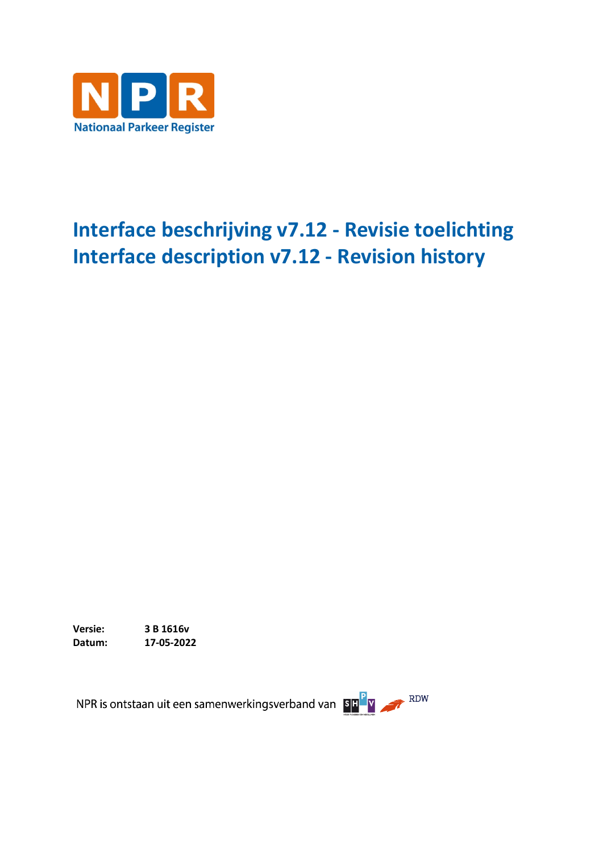

## **Interface beschrijving v7.12 - Revisie toelichting Interface description v7.12 - Revision history**

**Versie: 3 B 1616v Datum: 17-05-2022**

NPR is ontstaan uit een samenwerkingsverband van BEPY ARDW